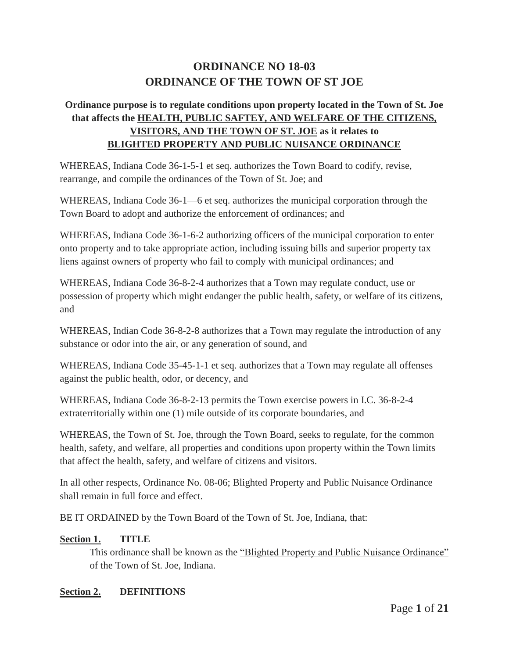# **ORDINANCE NO 18-03 ORDINANCE OF THE TOWN OF ST JOE**

## **Ordinance purpose is to regulate conditions upon property located in the Town of St. Joe that affects the HEALTH, PUBLIC SAFTEY, AND WELFARE OF THE CITIZENS, VISITORS, AND THE TOWN OF ST. JOE as it relates to BLIGHTED PROPERTY AND PUBLIC NUISANCE ORDINANCE**

WHEREAS, Indiana Code 36-1-5-1 et seq. authorizes the Town Board to codify, revise, rearrange, and compile the ordinances of the Town of St. Joe; and

WHEREAS, Indiana Code 36-1—6 et seq. authorizes the municipal corporation through the Town Board to adopt and authorize the enforcement of ordinances; and

WHEREAS, Indiana Code 36-1-6-2 authorizing officers of the municipal corporation to enter onto property and to take appropriate action, including issuing bills and superior property tax liens against owners of property who fail to comply with municipal ordinances; and

WHEREAS, Indiana Code 36-8-2-4 authorizes that a Town may regulate conduct, use or possession of property which might endanger the public health, safety, or welfare of its citizens, and

WHEREAS, Indian Code 36-8-2-8 authorizes that a Town may regulate the introduction of any substance or odor into the air, or any generation of sound, and

WHEREAS, Indiana Code 35-45-1-1 et seq. authorizes that a Town may regulate all offenses against the public health, odor, or decency, and

WHEREAS, Indiana Code 36-8-2-13 permits the Town exercise powers in I.C. 36-8-2-4 extraterritorially within one (1) mile outside of its corporate boundaries, and

WHEREAS, the Town of St. Joe, through the Town Board, seeks to regulate, for the common health, safety, and welfare, all properties and conditions upon property within the Town limits that affect the health, safety, and welfare of citizens and visitors.

In all other respects, Ordinance No. 08-06; Blighted Property and Public Nuisance Ordinance shall remain in full force and effect.

BE IT ORDAINED by the Town Board of the Town of St. Joe, Indiana, that:

#### **Section 1. TITLE**

This ordinance shall be known as the "Blighted Property and Public Nuisance Ordinance" of the Town of St. Joe, Indiana.

#### **Section 2. DEFINITIONS**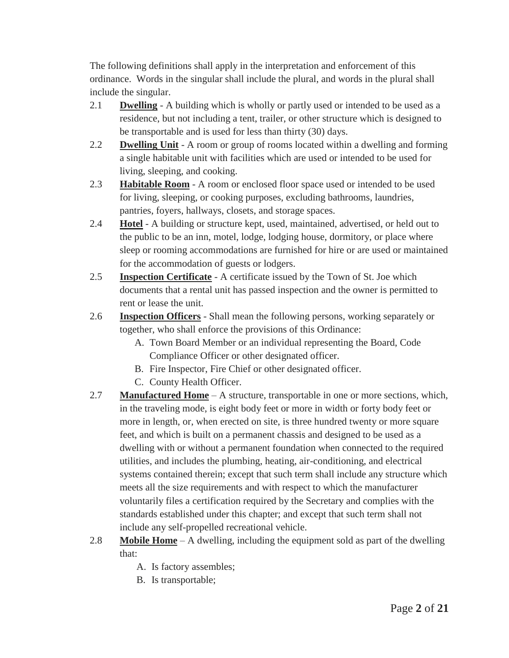The following definitions shall apply in the interpretation and enforcement of this ordinance. Words in the singular shall include the plural, and words in the plural shall include the singular.

- 2.1 **Dwelling** A building which is wholly or partly used or intended to be used as a residence, but not including a tent, trailer, or other structure which is designed to be transportable and is used for less than thirty (30) days.
- 2.2 **Dwelling Unit** A room or group of rooms located within a dwelling and forming a single habitable unit with facilities which are used or intended to be used for living, sleeping, and cooking.
- 2.3 **Habitable Room** A room or enclosed floor space used or intended to be used for living, sleeping, or cooking purposes, excluding bathrooms, laundries, pantries, foyers, hallways, closets, and storage spaces.
- 2.4 **Hotel** A building or structure kept, used, maintained, advertised, or held out to the public to be an inn, motel, lodge, lodging house, dormitory, or place where sleep or rooming accommodations are furnished for hire or are used or maintained for the accommodation of guests or lodgers.
- 2.5 **Inspection Certificate** A certificate issued by the Town of St. Joe which documents that a rental unit has passed inspection and the owner is permitted to rent or lease the unit.
- 2.6 **Inspection Officers** Shall mean the following persons, working separately or together, who shall enforce the provisions of this Ordinance:
	- A. Town Board Member or an individual representing the Board, Code Compliance Officer or other designated officer.
	- B. Fire Inspector, Fire Chief or other designated officer.
	- C. County Health Officer.
- 2.7 **Manufactured Home** A structure, transportable in one or more sections, which, in the traveling mode, is eight body feet or more in width or forty body feet or more in length, or, when erected on site, is three hundred twenty or more square feet, and which is built on a permanent chassis and designed to be used as a dwelling with or without a permanent foundation when connected to the required utilities, and includes the plumbing, heating, air-conditioning, and electrical systems contained therein; except that such term shall include any structure which meets all the size requirements and with respect to which the manufacturer voluntarily files a certification required by the Secretary and complies with the standards established under this chapter; and except that such term shall not include any self-propelled recreational vehicle.
- 2.8 **Mobile Home** A dwelling, including the equipment sold as part of the dwelling that:
	- A. Is factory assembles;
	- B. Is transportable;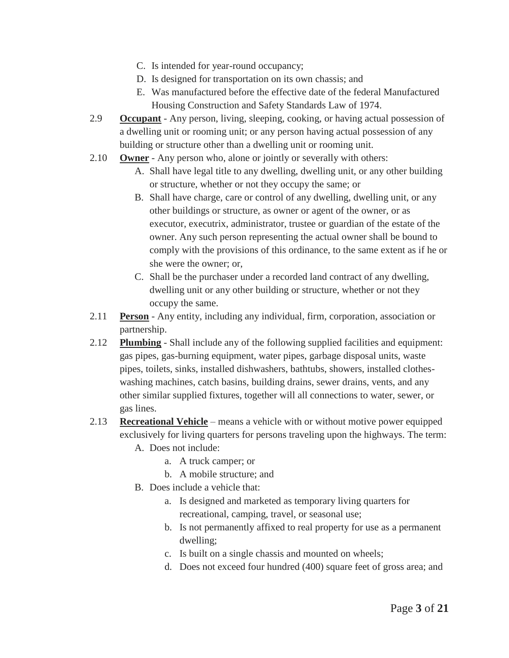- C. Is intended for year-round occupancy;
- D. Is designed for transportation on its own chassis; and
- E. Was manufactured before the effective date of the federal Manufactured Housing Construction and Safety Standards Law of 1974.
- 2.9 **Occupant** Any person, living, sleeping, cooking, or having actual possession of a dwelling unit or rooming unit; or any person having actual possession of any building or structure other than a dwelling unit or rooming unit.
- 2.10 **Owner** Any person who, alone or jointly or severally with others:
	- A. Shall have legal title to any dwelling, dwelling unit, or any other building or structure, whether or not they occupy the same; or
	- B. Shall have charge, care or control of any dwelling, dwelling unit, or any other buildings or structure, as owner or agent of the owner, or as executor, executrix, administrator, trustee or guardian of the estate of the owner. Any such person representing the actual owner shall be bound to comply with the provisions of this ordinance, to the same extent as if he or she were the owner; or,
	- C. Shall be the purchaser under a recorded land contract of any dwelling, dwelling unit or any other building or structure, whether or not they occupy the same.
- 2.11 **Person** Any entity, including any individual, firm, corporation, association or partnership.
- 2.12 **Plumbing** Shall include any of the following supplied facilities and equipment: gas pipes, gas-burning equipment, water pipes, garbage disposal units, waste pipes, toilets, sinks, installed dishwashers, bathtubs, showers, installed clotheswashing machines, catch basins, building drains, sewer drains, vents, and any other similar supplied fixtures, together will all connections to water, sewer, or gas lines.
- 2.13 **Recreational Vehicle** means a vehicle with or without motive power equipped exclusively for living quarters for persons traveling upon the highways. The term:
	- A. Does not include:
		- a. A truck camper; or
		- b. A mobile structure; and
	- B. Does include a vehicle that:
		- a. Is designed and marketed as temporary living quarters for recreational, camping, travel, or seasonal use;
		- b. Is not permanently affixed to real property for use as a permanent dwelling;
		- c. Is built on a single chassis and mounted on wheels;
		- d. Does not exceed four hundred (400) square feet of gross area; and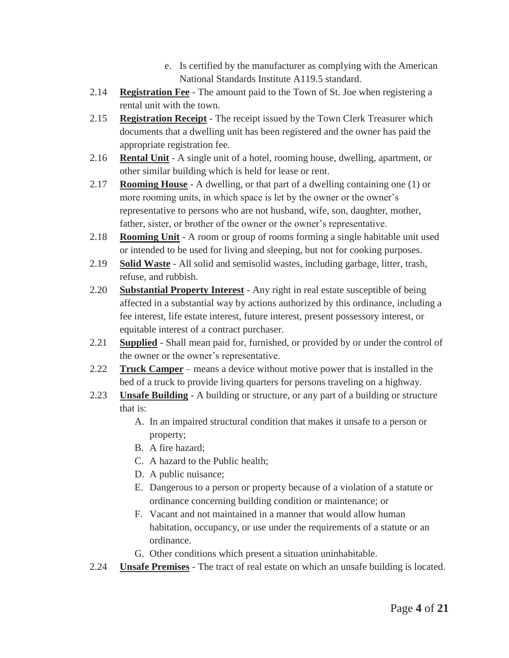- e. Is certified by the manufacturer as complying with the American National Standards Institute A119.5 standard.
- 2.14 **Registration Fee** The amount paid to the Town of St. Joe when registering a rental unit with the town.
- 2.15 **Registration Receipt** The receipt issued by the Town Clerk Treasurer which documents that a dwelling unit has been registered and the owner has paid the appropriate registration fee.
- 2.16 **Rental Unit** A single unit of a hotel, rooming house, dwelling, apartment, or other similar building which is held for lease or rent.
- 2.17 **Rooming House** A dwelling, or that part of a dwelling containing one (1) or more rooming units, in which space is let by the owner or the owner's representative to persons who are not husband, wife, son, daughter, mother, father, sister, or brother of the owner or the owner's representative.
- 2.18 **Rooming Unit** A room or group of rooms forming a single habitable unit used or intended to be used for living and sleeping, but not for cooking purposes.
- 2.19 **Solid Waste** All solid and semisolid wastes, including garbage, litter, trash, refuse, and rubbish.
- 2.20 **Substantial Property Interest** Any right in real estate susceptible of being affected in a substantial way by actions authorized by this ordinance, including a fee interest, life estate interest, future interest, present possessory interest, or equitable interest of a contract purchaser.
- 2.21 **Supplied** Shall mean paid for, furnished, or provided by or under the control of the owner or the owner's representative.
- 2.22 **Truck Camper** means a device without motive power that is installed in the bed of a truck to provide living quarters for persons traveling on a highway.
- 2.23 **Unsafe Building** A building or structure, or any part of a building or structure that is:
	- A. In an impaired structural condition that makes it unsafe to a person or property;
	- B. A fire hazard;
	- C. A hazard to the Public health;
	- D. A public nuisance;
	- E. Dangerous to a person or property because of a violation of a statute or ordinance concerning building condition or maintenance; or
	- F. Vacant and not maintained in a manner that would allow human habitation, occupancy, or use under the requirements of a statute or an ordinance.
	- G. Other conditions which present a situation uninhabitable.
- 2.24 **Unsafe Premises** The tract of real estate on which an unsafe building is located.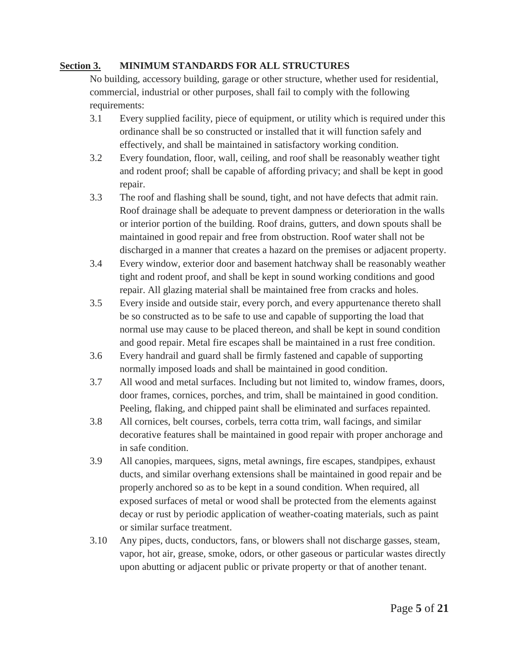#### **Section 3. MINIMUM STANDARDS FOR ALL STRUCTURES**

No building, accessory building, garage or other structure, whether used for residential, commercial, industrial or other purposes, shall fail to comply with the following requirements:

- 3.1 Every supplied facility, piece of equipment, or utility which is required under this ordinance shall be so constructed or installed that it will function safely and effectively, and shall be maintained in satisfactory working condition.
- 3.2 Every foundation, floor, wall, ceiling, and roof shall be reasonably weather tight and rodent proof; shall be capable of affording privacy; and shall be kept in good repair.
- 3.3 The roof and flashing shall be sound, tight, and not have defects that admit rain. Roof drainage shall be adequate to prevent dampness or deterioration in the walls or interior portion of the building. Roof drains, gutters, and down spouts shall be maintained in good repair and free from obstruction. Roof water shall not be discharged in a manner that creates a hazard on the premises or adjacent property.
- 3.4 Every window, exterior door and basement hatchway shall be reasonably weather tight and rodent proof, and shall be kept in sound working conditions and good repair. All glazing material shall be maintained free from cracks and holes.
- 3.5 Every inside and outside stair, every porch, and every appurtenance thereto shall be so constructed as to be safe to use and capable of supporting the load that normal use may cause to be placed thereon, and shall be kept in sound condition and good repair. Metal fire escapes shall be maintained in a rust free condition.
- 3.6 Every handrail and guard shall be firmly fastened and capable of supporting normally imposed loads and shall be maintained in good condition.
- 3.7 All wood and metal surfaces. Including but not limited to, window frames, doors, door frames, cornices, porches, and trim, shall be maintained in good condition. Peeling, flaking, and chipped paint shall be eliminated and surfaces repainted.
- 3.8 All cornices, belt courses, corbels, terra cotta trim, wall facings, and similar decorative features shall be maintained in good repair with proper anchorage and in safe condition.
- 3.9 All canopies, marquees, signs, metal awnings, fire escapes, standpipes, exhaust ducts, and similar overhang extensions shall be maintained in good repair and be properly anchored so as to be kept in a sound condition. When required, all exposed surfaces of metal or wood shall be protected from the elements against decay or rust by periodic application of weather-coating materials, such as paint or similar surface treatment.
- 3.10 Any pipes, ducts, conductors, fans, or blowers shall not discharge gasses, steam, vapor, hot air, grease, smoke, odors, or other gaseous or particular wastes directly upon abutting or adjacent public or private property or that of another tenant.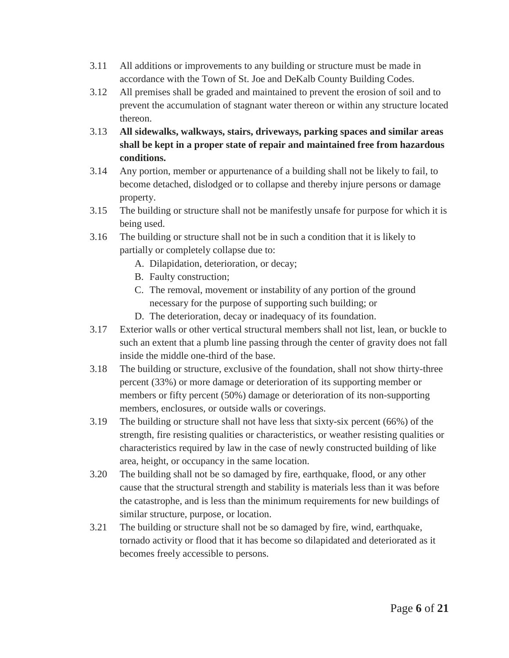- 3.11 All additions or improvements to any building or structure must be made in accordance with the Town of St. Joe and DeKalb County Building Codes.
- 3.12 All premises shall be graded and maintained to prevent the erosion of soil and to prevent the accumulation of stagnant water thereon or within any structure located thereon.
- 3.13 **All sidewalks, walkways, stairs, driveways, parking spaces and similar areas shall be kept in a proper state of repair and maintained free from hazardous conditions.**
- 3.14 Any portion, member or appurtenance of a building shall not be likely to fail, to become detached, dislodged or to collapse and thereby injure persons or damage property.
- 3.15 The building or structure shall not be manifestly unsafe for purpose for which it is being used.
- 3.16 The building or structure shall not be in such a condition that it is likely to partially or completely collapse due to:
	- A. Dilapidation, deterioration, or decay;
	- B. Faulty construction;
	- C. The removal, movement or instability of any portion of the ground necessary for the purpose of supporting such building; or
	- D. The deterioration, decay or inadequacy of its foundation.
- 3.17 Exterior walls or other vertical structural members shall not list, lean, or buckle to such an extent that a plumb line passing through the center of gravity does not fall inside the middle one-third of the base.
- 3.18 The building or structure, exclusive of the foundation, shall not show thirty-three percent (33%) or more damage or deterioration of its supporting member or members or fifty percent (50%) damage or deterioration of its non-supporting members, enclosures, or outside walls or coverings.
- 3.19 The building or structure shall not have less that sixty-six percent (66%) of the strength, fire resisting qualities or characteristics, or weather resisting qualities or characteristics required by law in the case of newly constructed building of like area, height, or occupancy in the same location.
- 3.20 The building shall not be so damaged by fire, earthquake, flood, or any other cause that the structural strength and stability is materials less than it was before the catastrophe, and is less than the minimum requirements for new buildings of similar structure, purpose, or location.
- 3.21 The building or structure shall not be so damaged by fire, wind, earthquake, tornado activity or flood that it has become so dilapidated and deteriorated as it becomes freely accessible to persons.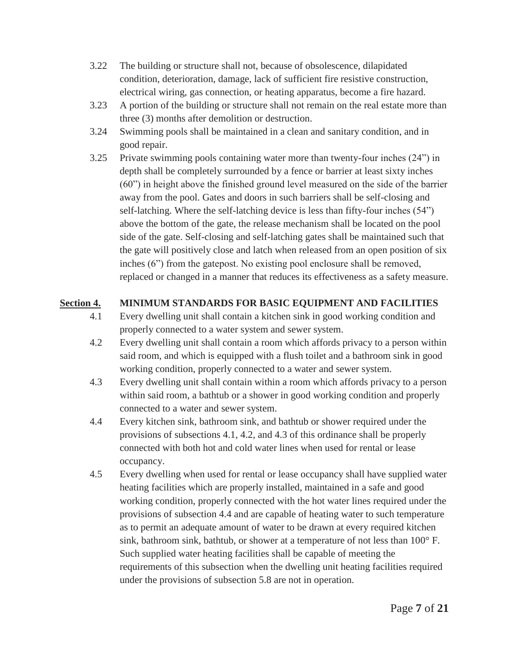- 3.22 The building or structure shall not, because of obsolescence, dilapidated condition, deterioration, damage, lack of sufficient fire resistive construction, electrical wiring, gas connection, or heating apparatus, become a fire hazard.
- 3.23 A portion of the building or structure shall not remain on the real estate more than three (3) months after demolition or destruction.
- 3.24 Swimming pools shall be maintained in a clean and sanitary condition, and in good repair.
- 3.25 Private swimming pools containing water more than twenty-four inches (24") in depth shall be completely surrounded by a fence or barrier at least sixty inches (60") in height above the finished ground level measured on the side of the barrier away from the pool. Gates and doors in such barriers shall be self-closing and self-latching. Where the self-latching device is less than fifty-four inches (54") above the bottom of the gate, the release mechanism shall be located on the pool side of the gate. Self-closing and self-latching gates shall be maintained such that the gate will positively close and latch when released from an open position of six inches (6") from the gatepost. No existing pool enclosure shall be removed, replaced or changed in a manner that reduces its effectiveness as a safety measure.

### **Section 4. MINIMUM STANDARDS FOR BASIC EQUIPMENT AND FACILITIES**

- 4.1 Every dwelling unit shall contain a kitchen sink in good working condition and properly connected to a water system and sewer system.
- 4.2 Every dwelling unit shall contain a room which affords privacy to a person within said room, and which is equipped with a flush toilet and a bathroom sink in good working condition, properly connected to a water and sewer system.
- 4.3 Every dwelling unit shall contain within a room which affords privacy to a person within said room, a bathtub or a shower in good working condition and properly connected to a water and sewer system.
- 4.4 Every kitchen sink, bathroom sink, and bathtub or shower required under the provisions of subsections 4.1, 4.2, and 4.3 of this ordinance shall be properly connected with both hot and cold water lines when used for rental or lease occupancy.
- 4.5 Every dwelling when used for rental or lease occupancy shall have supplied water heating facilities which are properly installed, maintained in a safe and good working condition, properly connected with the hot water lines required under the provisions of subsection 4.4 and are capable of heating water to such temperature as to permit an adequate amount of water to be drawn at every required kitchen sink, bathroom sink, bathtub, or shower at a temperature of not less than 100° F. Such supplied water heating facilities shall be capable of meeting the requirements of this subsection when the dwelling unit heating facilities required under the provisions of subsection 5.8 are not in operation.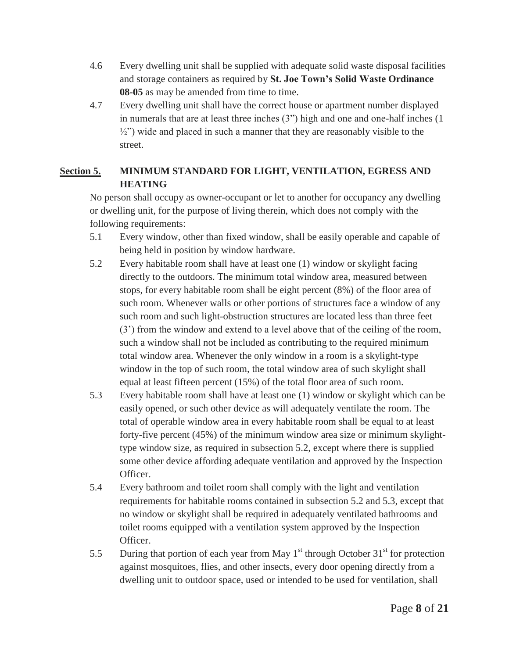- 4.6 Every dwelling unit shall be supplied with adequate solid waste disposal facilities and storage containers as required by **St. Joe Town's Solid Waste Ordinance 08-05** as may be amended from time to time.
- 4.7 Every dwelling unit shall have the correct house or apartment number displayed in numerals that are at least three inches (3") high and one and one-half inches (1  $\frac{1}{2}$ ") wide and placed in such a manner that they are reasonably visible to the street.

### **Section 5. MINIMUM STANDARD FOR LIGHT, VENTILATION, EGRESS AND HEATING**

No person shall occupy as owner-occupant or let to another for occupancy any dwelling or dwelling unit, for the purpose of living therein, which does not comply with the following requirements:

- 5.1 Every window, other than fixed window, shall be easily operable and capable of being held in position by window hardware.
- 5.2 Every habitable room shall have at least one (1) window or skylight facing directly to the outdoors. The minimum total window area, measured between stops, for every habitable room shall be eight percent (8%) of the floor area of such room. Whenever walls or other portions of structures face a window of any such room and such light-obstruction structures are located less than three feet (3') from the window and extend to a level above that of the ceiling of the room, such a window shall not be included as contributing to the required minimum total window area. Whenever the only window in a room is a skylight-type window in the top of such room, the total window area of such skylight shall equal at least fifteen percent (15%) of the total floor area of such room.
- 5.3 Every habitable room shall have at least one (1) window or skylight which can be easily opened, or such other device as will adequately ventilate the room. The total of operable window area in every habitable room shall be equal to at least forty-five percent (45%) of the minimum window area size or minimum skylighttype window size, as required in subsection 5.2, except where there is supplied some other device affording adequate ventilation and approved by the Inspection Officer.
- 5.4 Every bathroom and toilet room shall comply with the light and ventilation requirements for habitable rooms contained in subsection 5.2 and 5.3, except that no window or skylight shall be required in adequately ventilated bathrooms and toilet rooms equipped with a ventilation system approved by the Inspection Officer.
- 5.5 During that portion of each year from May  $1<sup>st</sup>$  through October 31<sup>st</sup> for protection against mosquitoes, flies, and other insects, every door opening directly from a dwelling unit to outdoor space, used or intended to be used for ventilation, shall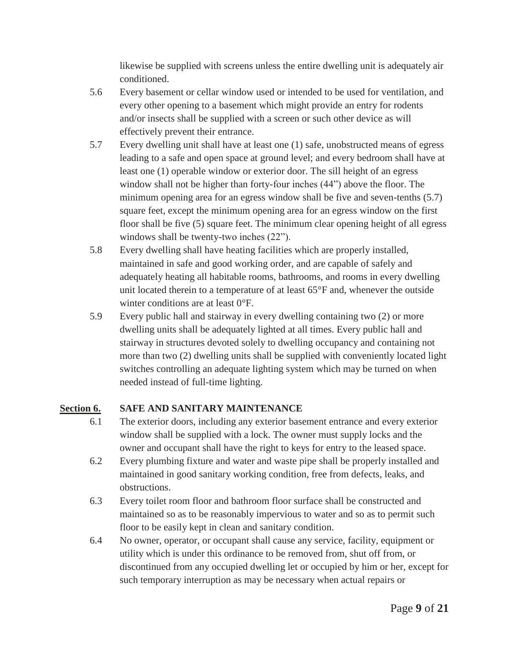likewise be supplied with screens unless the entire dwelling unit is adequately air conditioned.

- 5.6 Every basement or cellar window used or intended to be used for ventilation, and every other opening to a basement which might provide an entry for rodents and/or insects shall be supplied with a screen or such other device as will effectively prevent their entrance.
- 5.7 Every dwelling unit shall have at least one (1) safe, unobstructed means of egress leading to a safe and open space at ground level; and every bedroom shall have at least one (1) operable window or exterior door. The sill height of an egress window shall not be higher than forty-four inches (44") above the floor. The minimum opening area for an egress window shall be five and seven-tenths (5.7) square feet, except the minimum opening area for an egress window on the first floor shall be five (5) square feet. The minimum clear opening height of all egress windows shall be twenty-two inches (22").
- 5.8 Every dwelling shall have heating facilities which are properly installed, maintained in safe and good working order, and are capable of safely and adequately heating all habitable rooms, bathrooms, and rooms in every dwelling unit located therein to a temperature of at least  $65^{\circ}$  F and, whenever the outside winter conditions are at least 0°F.
- 5.9 Every public hall and stairway in every dwelling containing two (2) or more dwelling units shall be adequately lighted at all times. Every public hall and stairway in structures devoted solely to dwelling occupancy and containing not more than two (2) dwelling units shall be supplied with conveniently located light switches controlling an adequate lighting system which may be turned on when needed instead of full-time lighting.

### **Section 6. SAFE AND SANITARY MAINTENANCE**

- 6.1 The exterior doors, including any exterior basement entrance and every exterior window shall be supplied with a lock. The owner must supply locks and the owner and occupant shall have the right to keys for entry to the leased space.
- 6.2 Every plumbing fixture and water and waste pipe shall be properly installed and maintained in good sanitary working condition, free from defects, leaks, and obstructions.
- 6.3 Every toilet room floor and bathroom floor surface shall be constructed and maintained so as to be reasonably impervious to water and so as to permit such floor to be easily kept in clean and sanitary condition.
- 6.4 No owner, operator, or occupant shall cause any service, facility, equipment or utility which is under this ordinance to be removed from, shut off from, or discontinued from any occupied dwelling let or occupied by him or her, except for such temporary interruption as may be necessary when actual repairs or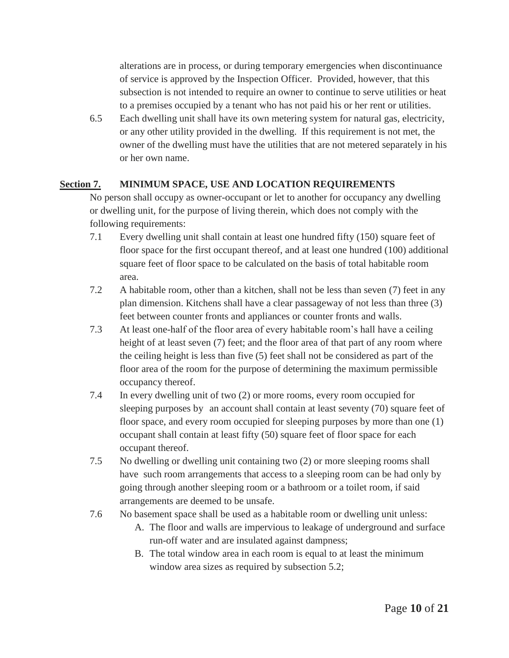alterations are in process, or during temporary emergencies when discontinuance of service is approved by the Inspection Officer. Provided, however, that this subsection is not intended to require an owner to continue to serve utilities or heat to a premises occupied by a tenant who has not paid his or her rent or utilities.

6.5 Each dwelling unit shall have its own metering system for natural gas, electricity, or any other utility provided in the dwelling. If this requirement is not met, the owner of the dwelling must have the utilities that are not metered separately in his or her own name.

#### **Section 7. MINIMUM SPACE, USE AND LOCATION REQUIREMENTS**

No person shall occupy as owner-occupant or let to another for occupancy any dwelling or dwelling unit, for the purpose of living therein, which does not comply with the following requirements:

- 7.1 Every dwelling unit shall contain at least one hundred fifty (150) square feet of floor space for the first occupant thereof, and at least one hundred (100) additional square feet of floor space to be calculated on the basis of total habitable room area.
- 7.2 A habitable room, other than a kitchen, shall not be less than seven (7) feet in any plan dimension. Kitchens shall have a clear passageway of not less than three (3) feet between counter fronts and appliances or counter fronts and walls.
- 7.3 At least one-half of the floor area of every habitable room's hall have a ceiling height of at least seven (7) feet; and the floor area of that part of any room where the ceiling height is less than five (5) feet shall not be considered as part of the floor area of the room for the purpose of determining the maximum permissible occupancy thereof.
- 7.4 In every dwelling unit of two (2) or more rooms, every room occupied for sleeping purposes by an account shall contain at least seventy (70) square feet of floor space, and every room occupied for sleeping purposes by more than one (1) occupant shall contain at least fifty (50) square feet of floor space for each occupant thereof.
- 7.5 No dwelling or dwelling unit containing two (2) or more sleeping rooms shall have such room arrangements that access to a sleeping room can be had only by going through another sleeping room or a bathroom or a toilet room, if said arrangements are deemed to be unsafe.
- 7.6 No basement space shall be used as a habitable room or dwelling unit unless:
	- A. The floor and walls are impervious to leakage of underground and surface run-off water and are insulated against dampness;
	- B. The total window area in each room is equal to at least the minimum window area sizes as required by subsection 5.2;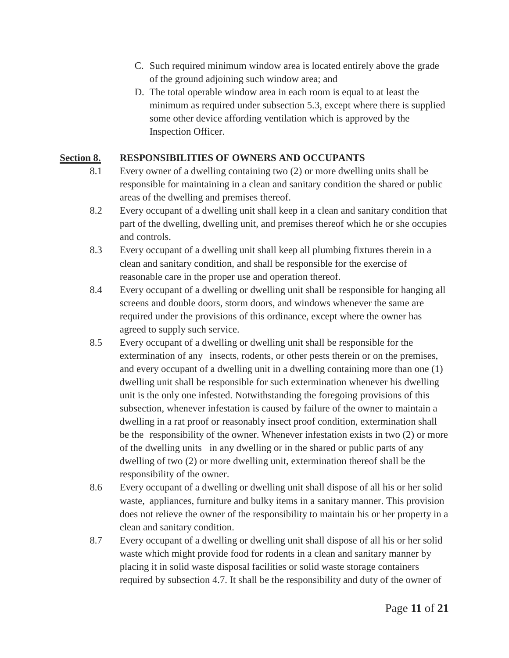- C. Such required minimum window area is located entirely above the grade of the ground adjoining such window area; and
- D. The total operable window area in each room is equal to at least the minimum as required under subsection 5.3, except where there is supplied some other device affording ventilation which is approved by the Inspection Officer.

### **Section 8. RESPONSIBILITIES OF OWNERS AND OCCUPANTS**

- 8.1 Every owner of a dwelling containing two (2) or more dwelling units shall be responsible for maintaining in a clean and sanitary condition the shared or public areas of the dwelling and premises thereof.
- 8.2 Every occupant of a dwelling unit shall keep in a clean and sanitary condition that part of the dwelling, dwelling unit, and premises thereof which he or she occupies and controls.
- 8.3 Every occupant of a dwelling unit shall keep all plumbing fixtures therein in a clean and sanitary condition, and shall be responsible for the exercise of reasonable care in the proper use and operation thereof.
- 8.4 Every occupant of a dwelling or dwelling unit shall be responsible for hanging all screens and double doors, storm doors, and windows whenever the same are required under the provisions of this ordinance, except where the owner has agreed to supply such service.
- 8.5 Every occupant of a dwelling or dwelling unit shall be responsible for the extermination of any insects, rodents, or other pests therein or on the premises, and every occupant of a dwelling unit in a dwelling containing more than one (1) dwelling unit shall be responsible for such extermination whenever his dwelling unit is the only one infested. Notwithstanding the foregoing provisions of this subsection, whenever infestation is caused by failure of the owner to maintain a dwelling in a rat proof or reasonably insect proof condition, extermination shall be the responsibility of the owner. Whenever infestation exists in two (2) or more of the dwelling units in any dwelling or in the shared or public parts of any dwelling of two (2) or more dwelling unit, extermination thereof shall be the responsibility of the owner.
- 8.6 Every occupant of a dwelling or dwelling unit shall dispose of all his or her solid waste, appliances, furniture and bulky items in a sanitary manner. This provision does not relieve the owner of the responsibility to maintain his or her property in a clean and sanitary condition.
- 8.7 Every occupant of a dwelling or dwelling unit shall dispose of all his or her solid waste which might provide food for rodents in a clean and sanitary manner by placing it in solid waste disposal facilities or solid waste storage containers required by subsection 4.7. It shall be the responsibility and duty of the owner of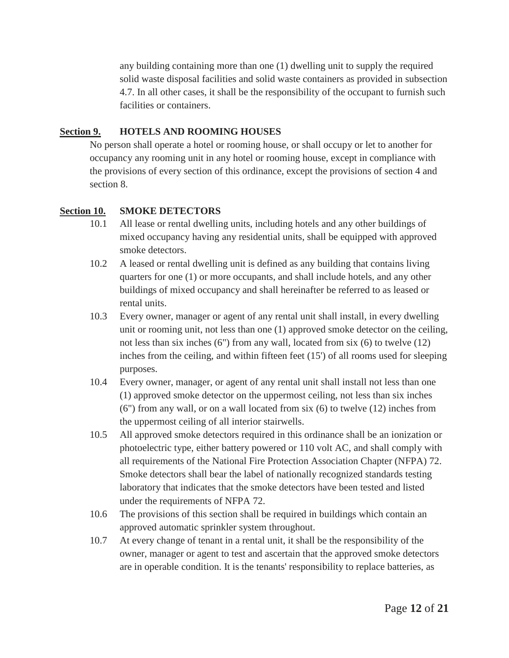any building containing more than one (1) dwelling unit to supply the required solid waste disposal facilities and solid waste containers as provided in subsection 4.7. In all other cases, it shall be the responsibility of the occupant to furnish such facilities or containers.

#### **Section 9. HOTELS AND ROOMING HOUSES**

No person shall operate a hotel or rooming house, or shall occupy or let to another for occupancy any rooming unit in any hotel or rooming house, except in compliance with the provisions of every section of this ordinance, except the provisions of section 4 and section 8.

#### **Section 10. SMOKE DETECTORS**

- 10.1 All lease or rental dwelling units, including hotels and any other buildings of mixed occupancy having any residential units, shall be equipped with approved smoke detectors.
- 10.2 A leased or rental dwelling unit is defined as any building that contains living quarters for one (1) or more occupants, and shall include hotels, and any other buildings of mixed occupancy and shall hereinafter be referred to as leased or rental units.
- 10.3 Every owner, manager or agent of any rental unit shall install, in every dwelling unit or rooming unit, not less than one (1) approved smoke detector on the ceiling, not less than six inches (6") from any wall, located from six (6) to twelve (12) inches from the ceiling, and within fifteen feet (15') of all rooms used for sleeping purposes.
- 10.4 Every owner, manager, or agent of any rental unit shall install not less than one (1) approved smoke detector on the uppermost ceiling, not less than six inches (6") from any wall, or on a wall located from six (6) to twelve (12) inches from the uppermost ceiling of all interior stairwells.
- 10.5 All approved smoke detectors required in this ordinance shall be an ionization or photoelectric type, either battery powered or 110 volt AC, and shall comply with all requirements of the National Fire Protection Association Chapter (NFPA) 72. Smoke detectors shall bear the label of nationally recognized standards testing laboratory that indicates that the smoke detectors have been tested and listed under the requirements of NFPA 72.
- 10.6 The provisions of this section shall be required in buildings which contain an approved automatic sprinkler system throughout.
- 10.7 At every change of tenant in a rental unit, it shall be the responsibility of the owner, manager or agent to test and ascertain that the approved smoke detectors are in operable condition. It is the tenants' responsibility to replace batteries, as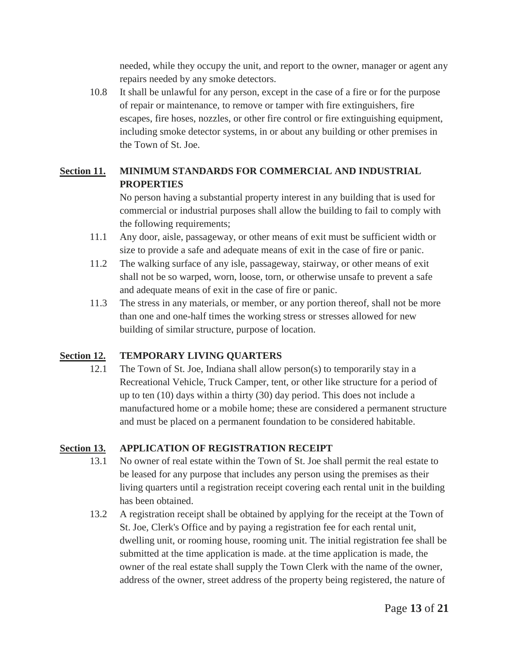needed, while they occupy the unit, and report to the owner, manager or agent any repairs needed by any smoke detectors.

10.8 It shall be unlawful for any person, except in the case of a fire or for the purpose of repair or maintenance, to remove or tamper with fire extinguishers, fire escapes, fire hoses, nozzles, or other fire control or fire extinguishing equipment, including smoke detector systems, in or about any building or other premises in the Town of St. Joe.

### **Section 11. MINIMUM STANDARDS FOR COMMERCIAL AND INDUSTRIAL PROPERTIES**

No person having a substantial property interest in any building that is used for commercial or industrial purposes shall allow the building to fail to comply with the following requirements;

- 11.1 Any door, aisle, passageway, or other means of exit must be sufficient width or size to provide a safe and adequate means of exit in the case of fire or panic.
- 11.2 The walking surface of any isle, passageway, stairway, or other means of exit shall not be so warped, worn, loose, torn, or otherwise unsafe to prevent a safe and adequate means of exit in the case of fire or panic.
- 11.3 The stress in any materials, or member, or any portion thereof, shall not be more than one and one-half times the working stress or stresses allowed for new building of similar structure, purpose of location.

#### **Section 12. TEMPORARY LIVING QUARTERS**

12.1 The Town of St. Joe, Indiana shall allow person(s) to temporarily stay in a Recreational Vehicle, Truck Camper, tent, or other like structure for a period of up to ten (10) days within a thirty (30) day period. This does not include a manufactured home or a mobile home; these are considered a permanent structure and must be placed on a permanent foundation to be considered habitable.

#### **Section 13. APPLICATION OF REGISTRATION RECEIPT**

- 13.1 No owner of real estate within the Town of St. Joe shall permit the real estate to be leased for any purpose that includes any person using the premises as their living quarters until a registration receipt covering each rental unit in the building has been obtained.
- 13.2 A registration receipt shall be obtained by applying for the receipt at the Town of St. Joe, Clerk's Office and by paying a registration fee for each rental unit, dwelling unit, or rooming house, rooming unit. The initial registration fee shall be submitted at the time application is made. at the time application is made, the owner of the real estate shall supply the Town Clerk with the name of the owner, address of the owner, street address of the property being registered, the nature of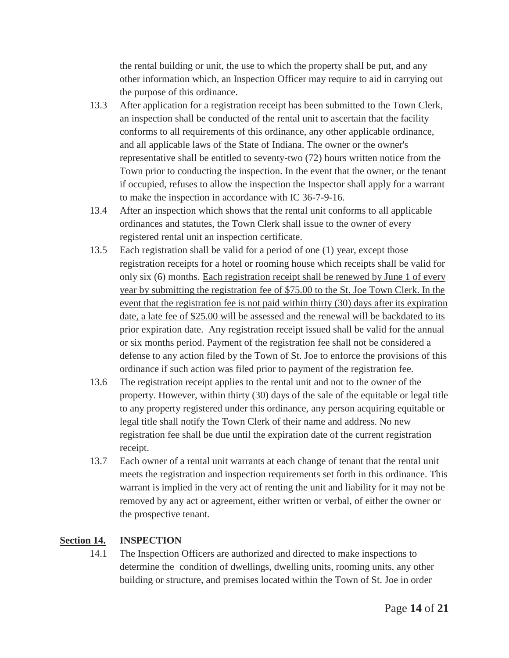the rental building or unit, the use to which the property shall be put, and any other information which, an Inspection Officer may require to aid in carrying out the purpose of this ordinance.

- 13.3 After application for a registration receipt has been submitted to the Town Clerk, an inspection shall be conducted of the rental unit to ascertain that the facility conforms to all requirements of this ordinance, any other applicable ordinance, and all applicable laws of the State of Indiana. The owner or the owner's representative shall be entitled to seventy-two (72) hours written notice from the Town prior to conducting the inspection. In the event that the owner, or the tenant if occupied, refuses to allow the inspection the Inspector shall apply for a warrant to make the inspection in accordance with IC 36-7-9-16.
- 13.4 After an inspection which shows that the rental unit conforms to all applicable ordinances and statutes, the Town Clerk shall issue to the owner of every registered rental unit an inspection certificate.
- 13.5 Each registration shall be valid for a period of one (1) year, except those registration receipts for a hotel or rooming house which receipts shall be valid for only six (6) months. Each registration receipt shall be renewed by June 1 of every year by submitting the registration fee of \$75.00 to the St. Joe Town Clerk. In the event that the registration fee is not paid within thirty (30) days after its expiration date, a late fee of \$25.00 will be assessed and the renewal will be backdated to its prior expiration date. Any registration receipt issued shall be valid for the annual or six months period. Payment of the registration fee shall not be considered a defense to any action filed by the Town of St. Joe to enforce the provisions of this ordinance if such action was filed prior to payment of the registration fee.
- 13.6 The registration receipt applies to the rental unit and not to the owner of the property. However, within thirty (30) days of the sale of the equitable or legal title to any property registered under this ordinance, any person acquiring equitable or legal title shall notify the Town Clerk of their name and address. No new registration fee shall be due until the expiration date of the current registration receipt.
- 13.7 Each owner of a rental unit warrants at each change of tenant that the rental unit meets the registration and inspection requirements set forth in this ordinance. This warrant is implied in the very act of renting the unit and liability for it may not be removed by any act or agreement, either written or verbal, of either the owner or the prospective tenant.

### **Section 14. INSPECTION**

14.1 The Inspection Officers are authorized and directed to make inspections to determine the condition of dwellings, dwelling units, rooming units, any other building or structure, and premises located within the Town of St. Joe in order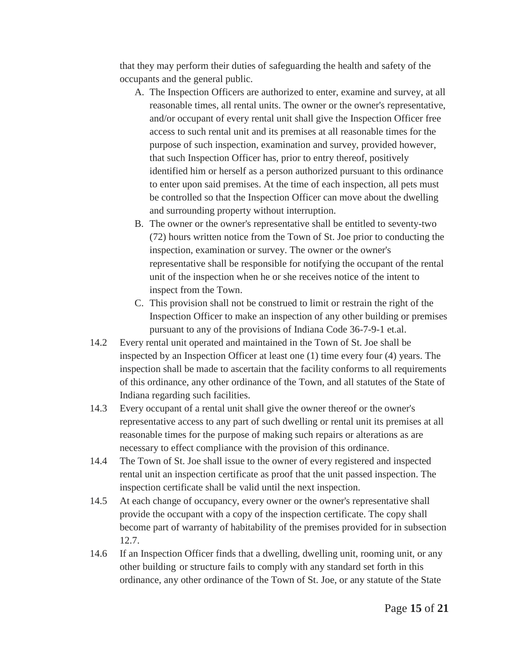that they may perform their duties of safeguarding the health and safety of the occupants and the general public.

- A. The Inspection Officers are authorized to enter, examine and survey, at all reasonable times, all rental units. The owner or the owner's representative, and/or occupant of every rental unit shall give the Inspection Officer free access to such rental unit and its premises at all reasonable times for the purpose of such inspection, examination and survey, provided however, that such Inspection Officer has, prior to entry thereof, positively identified him or herself as a person authorized pursuant to this ordinance to enter upon said premises. At the time of each inspection, all pets must be controlled so that the Inspection Officer can move about the dwelling and surrounding property without interruption.
- B. The owner or the owner's representative shall be entitled to seventy-two (72) hours written notice from the Town of St. Joe prior to conducting the inspection, examination or survey. The owner or the owner's representative shall be responsible for notifying the occupant of the rental unit of the inspection when he or she receives notice of the intent to inspect from the Town.
- C. This provision shall not be construed to limit or restrain the right of the Inspection Officer to make an inspection of any other building or premises pursuant to any of the provisions of Indiana Code 36-7-9-1 et.al.
- 14.2 Every rental unit operated and maintained in the Town of St. Joe shall be inspected by an Inspection Officer at least one (1) time every four (4) years. The inspection shall be made to ascertain that the facility conforms to all requirements of this ordinance, any other ordinance of the Town, and all statutes of the State of Indiana regarding such facilities.
- 14.3 Every occupant of a rental unit shall give the owner thereof or the owner's representative access to any part of such dwelling or rental unit its premises at all reasonable times for the purpose of making such repairs or alterations as are necessary to effect compliance with the provision of this ordinance.
- 14.4 The Town of St. Joe shall issue to the owner of every registered and inspected rental unit an inspection certificate as proof that the unit passed inspection. The inspection certificate shall be valid until the next inspection.
- 14.5 At each change of occupancy, every owner or the owner's representative shall provide the occupant with a copy of the inspection certificate. The copy shall become part of warranty of habitability of the premises provided for in subsection 12.7.
- 14.6 If an Inspection Officer finds that a dwelling, dwelling unit, rooming unit, or any other building or structure fails to comply with any standard set forth in this ordinance, any other ordinance of the Town of St. Joe, or any statute of the State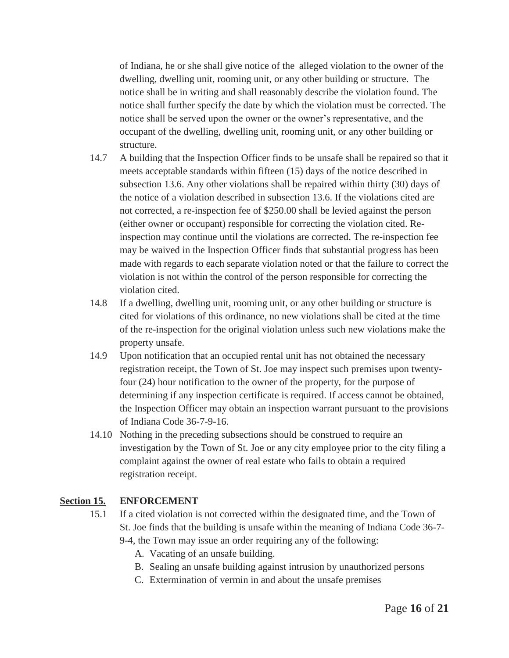of Indiana, he or she shall give notice of the alleged violation to the owner of the dwelling, dwelling unit, rooming unit, or any other building or structure. The notice shall be in writing and shall reasonably describe the violation found. The notice shall further specify the date by which the violation must be corrected. The notice shall be served upon the owner or the owner's representative, and the occupant of the dwelling, dwelling unit, rooming unit, or any other building or structure.

- 14.7 A building that the Inspection Officer finds to be unsafe shall be repaired so that it meets acceptable standards within fifteen (15) days of the notice described in subsection 13.6. Any other violations shall be repaired within thirty (30) days of the notice of a violation described in subsection 13.6. If the violations cited are not corrected, a re-inspection fee of \$250.00 shall be levied against the person (either owner or occupant) responsible for correcting the violation cited. Reinspection may continue until the violations are corrected. The re-inspection fee may be waived in the Inspection Officer finds that substantial progress has been made with regards to each separate violation noted or that the failure to correct the violation is not within the control of the person responsible for correcting the violation cited.
- 14.8 If a dwelling, dwelling unit, rooming unit, or any other building or structure is cited for violations of this ordinance, no new violations shall be cited at the time of the re-inspection for the original violation unless such new violations make the property unsafe.
- 14.9 Upon notification that an occupied rental unit has not obtained the necessary registration receipt, the Town of St. Joe may inspect such premises upon twentyfour (24) hour notification to the owner of the property, for the purpose of determining if any inspection certificate is required. If access cannot be obtained, the Inspection Officer may obtain an inspection warrant pursuant to the provisions of Indiana Code 36-7-9-16.
- 14.10 Nothing in the preceding subsections should be construed to require an investigation by the Town of St. Joe or any city employee prior to the city filing a complaint against the owner of real estate who fails to obtain a required registration receipt.

### **Section 15. ENFORCEMENT**

- 15.1 If a cited violation is not corrected within the designated time, and the Town of St. Joe finds that the building is unsafe within the meaning of Indiana Code 36-7- 9-4, the Town may issue an order requiring any of the following:
	- A. Vacating of an unsafe building.
	- B. Sealing an unsafe building against intrusion by unauthorized persons
	- C. Extermination of vermin in and about the unsafe premises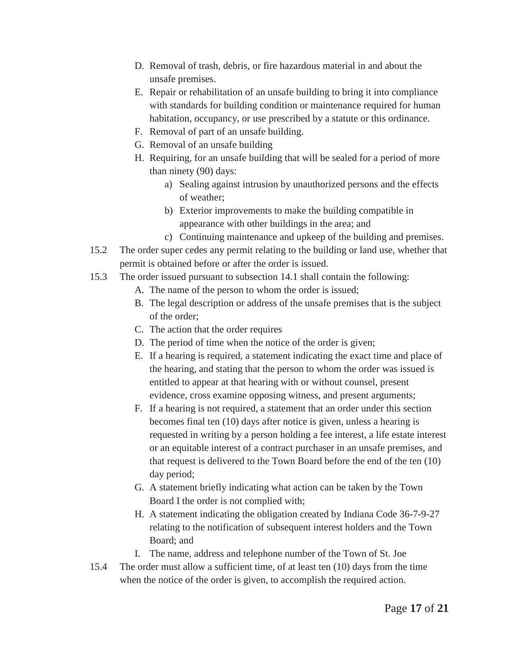- D. Removal of trash, debris, or fire hazardous material in and about the unsafe premises.
- E. Repair or rehabilitation of an unsafe building to bring it into compliance with standards for building condition or maintenance required for human habitation, occupancy, or use prescribed by a statute or this ordinance.
- F. Removal of part of an unsafe building.
- G. Removal of an unsafe building
- H. Requiring, for an unsafe building that will be sealed for a period of more than ninety (90) days:
	- a) Sealing against intrusion by unauthorized persons and the effects of weather;
	- b) Exterior improvements to make the building compatible in appearance with other buildings in the area; and
	- c) Continuing maintenance and upkeep of the building and premises.
- 15.2 The order super cedes any permit relating to the building or land use, whether that permit is obtained before or after the order is issued.
- 15.3 The order issued pursuant to subsection 14.1 shall contain the following:
	- A. The name of the person to whom the order is issued;
	- B. The legal description or address of the unsafe premises that is the subject of the order;
	- C. The action that the order requires
	- D. The period of time when the notice of the order is given;
	- E. If a hearing is required, a statement indicating the exact time and place of the hearing, and stating that the person to whom the order was issued is entitled to appear at that hearing with or without counsel, present evidence, cross examine opposing witness, and present arguments;
	- F. If a hearing is not required, a statement that an order under this section becomes final ten (10) days after notice is given, unless a hearing is requested in writing by a person holding a fee interest, a life estate interest or an equitable interest of a contract purchaser in an unsafe premises, and that request is delivered to the Town Board before the end of the ten (10) day period;
	- G. A statement briefly indicating what action can be taken by the Town Board I the order is not complied with;
	- H. A statement indicating the obligation created by Indiana Code 36-7-9-27 relating to the notification of subsequent interest holders and the Town Board; and
	- I. The name, address and telephone number of the Town of St. Joe
- 15.4 The order must allow a sufficient time, of at least ten (10) days from the time when the notice of the order is given, to accomplish the required action.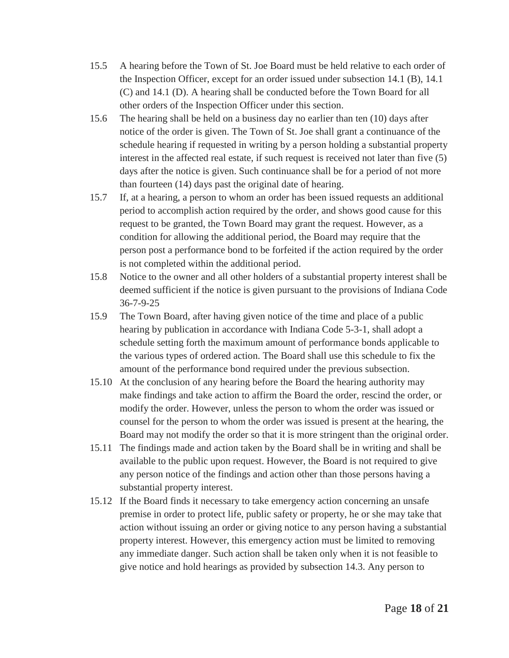- 15.5 A hearing before the Town of St. Joe Board must be held relative to each order of the Inspection Officer, except for an order issued under subsection 14.1 (B), 14.1 (C) and 14.1 (D). A hearing shall be conducted before the Town Board for all other orders of the Inspection Officer under this section.
- 15.6 The hearing shall be held on a business day no earlier than ten (10) days after notice of the order is given. The Town of St. Joe shall grant a continuance of the schedule hearing if requested in writing by a person holding a substantial property interest in the affected real estate, if such request is received not later than five (5) days after the notice is given. Such continuance shall be for a period of not more than fourteen (14) days past the original date of hearing.
- 15.7 If, at a hearing, a person to whom an order has been issued requests an additional period to accomplish action required by the order, and shows good cause for this request to be granted, the Town Board may grant the request. However, as a condition for allowing the additional period, the Board may require that the person post a performance bond to be forfeited if the action required by the order is not completed within the additional period.
- 15.8 Notice to the owner and all other holders of a substantial property interest shall be deemed sufficient if the notice is given pursuant to the provisions of Indiana Code 36-7-9-25
- 15.9 The Town Board, after having given notice of the time and place of a public hearing by publication in accordance with Indiana Code 5-3-1, shall adopt a schedule setting forth the maximum amount of performance bonds applicable to the various types of ordered action. The Board shall use this schedule to fix the amount of the performance bond required under the previous subsection.
- 15.10 At the conclusion of any hearing before the Board the hearing authority may make findings and take action to affirm the Board the order, rescind the order, or modify the order. However, unless the person to whom the order was issued or counsel for the person to whom the order was issued is present at the hearing, the Board may not modify the order so that it is more stringent than the original order.
- 15.11 The findings made and action taken by the Board shall be in writing and shall be available to the public upon request. However, the Board is not required to give any person notice of the findings and action other than those persons having a substantial property interest.
- 15.12 If the Board finds it necessary to take emergency action concerning an unsafe premise in order to protect life, public safety or property, he or she may take that action without issuing an order or giving notice to any person having a substantial property interest. However, this emergency action must be limited to removing any immediate danger. Such action shall be taken only when it is not feasible to give notice and hold hearings as provided by subsection 14.3. Any person to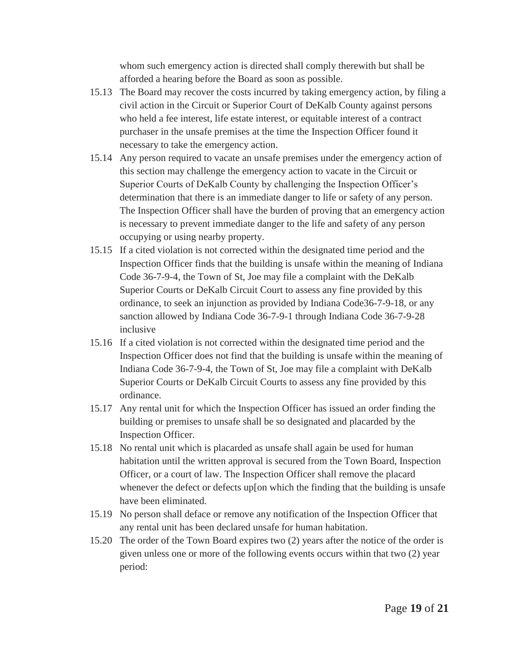whom such emergency action is directed shall comply therewith but shall be afforded a hearing before the Board as soon as possible.

- 15.13 The Board may recover the costs incurred by taking emergency action, by filing a civil action in the Circuit or Superior Court of DeKalb County against persons who held a fee interest, life estate interest, or equitable interest of a contract purchaser in the unsafe premises at the time the Inspection Officer found it necessary to take the emergency action.
- 15.14 Any person required to vacate an unsafe premises under the emergency action of this section may challenge the emergency action to vacate in the Circuit or Superior Courts of DeKalb County by challenging the Inspection Officer's determination that there is an immediate danger to life or safety of any person. The Inspection Officer shall have the burden of proving that an emergency action is necessary to prevent immediate danger to the life and safety of any person occupying or using nearby property.
- 15.15 If a cited violation is not corrected within the designated time period and the Inspection Officer finds that the building is unsafe within the meaning of Indiana Code 36-7-9-4, the Town of St, Joe may file a complaint with the DeKalb Superior Courts or DeKalb Circuit Court to assess any fine provided by this ordinance, to seek an injunction as provided by Indiana Code36-7-9-18, or any sanction allowed by Indiana Code 36-7-9-1 through Indiana Code 36-7-9-28 inclusive
- 15.16 If a cited violation is not corrected within the designated time period and the Inspection Officer does not find that the building is unsafe within the meaning of Indiana Code 36-7-9-4, the Town of St, Joe may file a complaint with DeKalb Superior Courts or DeKalb Circuit Courts to assess any fine provided by this ordinance.
- 15.17 Any rental unit for which the Inspection Officer has issued an order finding the building or premises to unsafe shall be so designated and placarded by the Inspection Officer.
- 15.18 No rental unit which is placarded as unsafe shall again be used for human habitation until the written approval is secured from the Town Board, Inspection Officer, or a court of law. The Inspection Officer shall remove the placard whenever the defect or defects up[on which the finding that the building is unsafe have been eliminated.
- 15.19 No person shall deface or remove any notification of the Inspection Officer that any rental unit has been declared unsafe for human habitation.
- 15.20 The order of the Town Board expires two (2) years after the notice of the order is given unless one or more of the following events occurs within that two (2) year period: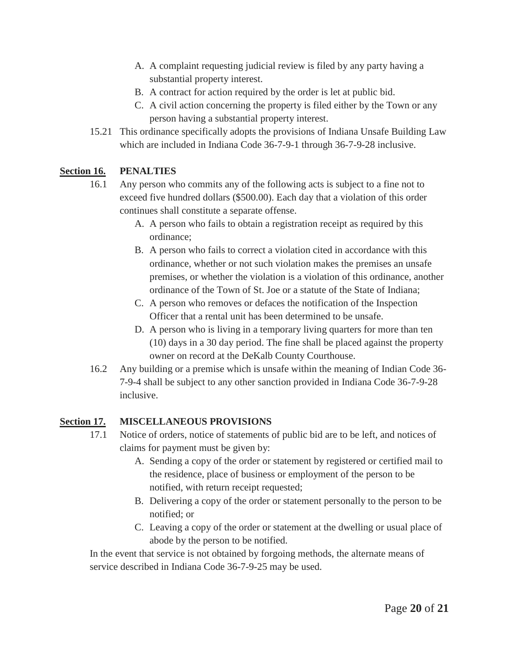- A. A complaint requesting judicial review is filed by any party having a substantial property interest.
- B. A contract for action required by the order is let at public bid.
- C. A civil action concerning the property is filed either by the Town or any person having a substantial property interest.
- 15.21 This ordinance specifically adopts the provisions of Indiana Unsafe Building Law which are included in Indiana Code 36-7-9-1 through 36-7-9-28 inclusive.

### **Section 16. PENALTIES**

- 16.1 Any person who commits any of the following acts is subject to a fine not to exceed five hundred dollars (\$500.00). Each day that a violation of this order continues shall constitute a separate offense.
	- A. A person who fails to obtain a registration receipt as required by this ordinance;
	- B. A person who fails to correct a violation cited in accordance with this ordinance, whether or not such violation makes the premises an unsafe premises, or whether the violation is a violation of this ordinance, another ordinance of the Town of St. Joe or a statute of the State of Indiana;
	- C. A person who removes or defaces the notification of the Inspection Officer that a rental unit has been determined to be unsafe.
	- D. A person who is living in a temporary living quarters for more than ten (10) days in a 30 day period. The fine shall be placed against the property owner on record at the DeKalb County Courthouse.
- 16.2 Any building or a premise which is unsafe within the meaning of Indian Code 36- 7-9-4 shall be subject to any other sanction provided in Indiana Code 36-7-9-28 inclusive.

### **Section 17. MISCELLANEOUS PROVISIONS**

- 17.1 Notice of orders, notice of statements of public bid are to be left, and notices of claims for payment must be given by:
	- A. Sending a copy of the order or statement by registered or certified mail to the residence, place of business or employment of the person to be notified, with return receipt requested;
	- B. Delivering a copy of the order or statement personally to the person to be notified; or
	- C. Leaving a copy of the order or statement at the dwelling or usual place of abode by the person to be notified.

In the event that service is not obtained by forgoing methods, the alternate means of service described in Indiana Code 36-7-9-25 may be used.